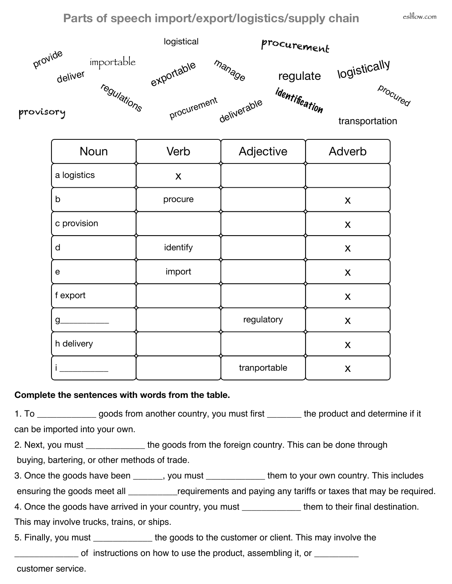## **Parts of speech import/export/logistics/supply chain**



| Noun        | Verb     | Adjective    | Adverb |
|-------------|----------|--------------|--------|
| a logistics | X        |              |        |
| b           | procure  |              | X      |
| c provision |          |              | X      |
| d           | identify |              | X      |
| $\mathbf e$ | import   |              | X      |
| f export    |          |              | X      |
| g           |          | regulatory   | X      |
| h delivery  |          |              | X      |
|             |          | tranportable | X      |

## **Complete the sentences with words from the table.**

1. To \_\_\_\_\_\_\_\_\_\_\_\_ goods from another country, you must first \_\_\_\_\_\_\_ the product and determine if it can be imported into your own.

2. Next, you must \_\_\_\_\_\_\_\_\_\_\_\_ the goods from the foreign country. This can be done through buying, bartering, or other methods of trade.

3. Once the goods have been \_\_\_\_\_\_, you must \_\_\_\_\_\_\_\_\_\_\_\_ them to your own country. This includes

ensuring the goods meet all **Example 20** requirements and paying any tariffs or taxes that may be required.

4. Once the goods have arrived in your country, you must \_\_\_\_\_\_\_\_\_\_\_\_ them to their final destination. This may involve trucks, trains, or ships.

5. Finally, you must \_\_\_\_\_\_\_\_\_\_\_\_ the goods to the customer or client. This may involve the

Lacktrainty of instructions on how to use the product, assembling it, or  $\frac{1}{1}$ 

customer service.